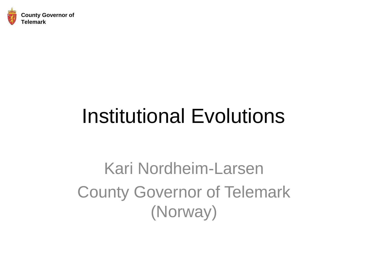

### Institutional Evolutions

Kari Nordheim-Larsen County Governor of Telemark (Norway)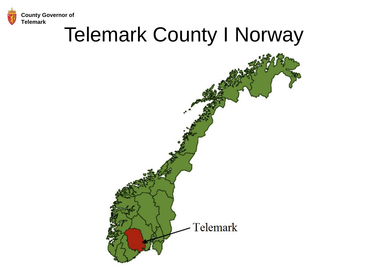

#### Telemark County I Norway

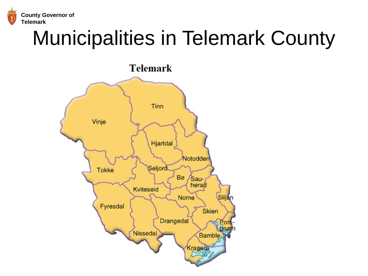

### Municipalities in Telemark County

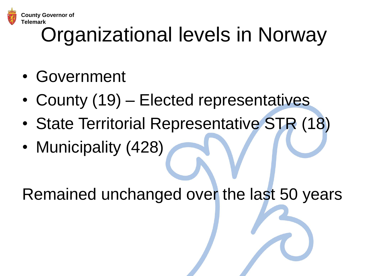

# Organizational levels in Norway

- Government
- County (19) Elected representatives
- State Territorial Representative STR (18)
- Municipality (428)

Remained unchanged over the last 50 years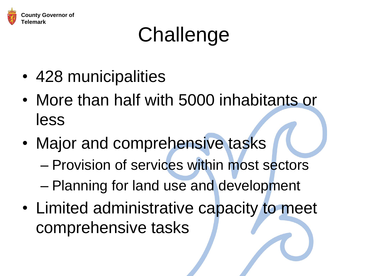

## Challenge

- 428 municipalities
- More than half with 5000 inhabitants or less
- Major and comprehensive tasks
	- Provision of services within most sectors
	- Planning for land use and development
- Limited administrative capacity to meet comprehensive tasks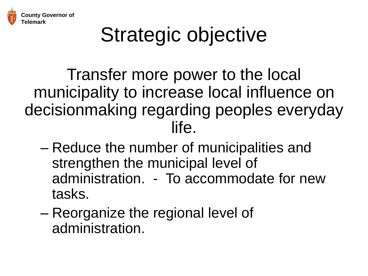

## Strategic objective

Transfer more power to the local municipality to increase local influence on decisionmaking regarding peoples everyday life.

- Reduce the number of municipalities and strengthen the municipal level of administration. - To accommodate for new tasks.
- Reorganize the regional level of administration.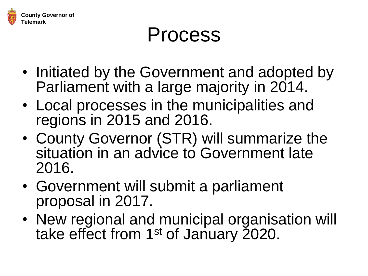

#### Process

- Initiated by the Government and adopted by Parliament with a large majority in 2014.
- Local processes in the municipalities and regions in 2015 and 2016.
- County Governor (STR) will summarize the situation in an advice to Government late 2016.
- Government will submit a parliament proposal in 2017.
- New regional and municipal organisation will take effect from 1<sup>st</sup> of January 2020.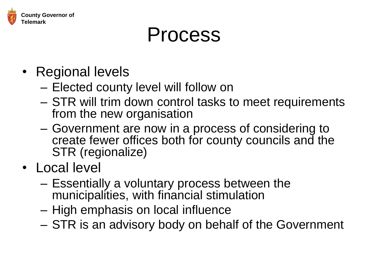

#### Process

- Regional levels
	- Elected county level will follow on
	- STR will trim down control tasks to meet requirements from the new organisation
	- Government are now in a process of considering to create fewer offices both for county councils and the STR (regionalize)
- Local level
	- Essentially a voluntary process between the municipalities, with financial stimulation
	- High emphasis on local influence
	- STR is an advisory body on behalf of the Government